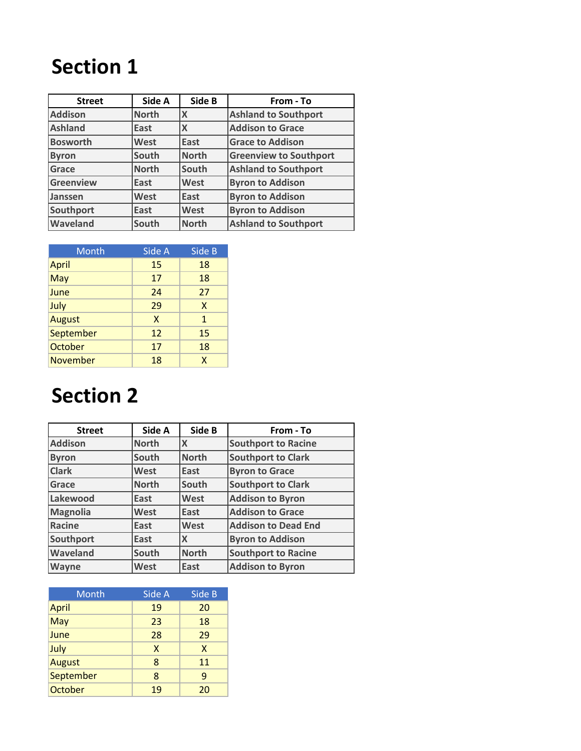| <b>Street</b>    | Side A       | Side B                    | From - To                     |
|------------------|--------------|---------------------------|-------------------------------|
| <b>Addison</b>   | <b>North</b> | X                         | <b>Ashland to Southport</b>   |
| <b>Ashland</b>   | East         | $\boldsymbol{\mathsf{X}}$ | <b>Addison to Grace</b>       |
| <b>Bosworth</b>  | <b>West</b>  | East                      | <b>Grace to Addison</b>       |
| <b>Byron</b>     | South        | <b>North</b>              | <b>Greenview to Southport</b> |
| Grace            | <b>North</b> | South                     | <b>Ashland to Southport</b>   |
| <b>Greenview</b> | East         | West                      | <b>Byron to Addison</b>       |
| Janssen          | West         | East                      | <b>Byron to Addison</b>       |
| Southport        | East         | West                      | <b>Byron to Addison</b>       |
| Waveland         | South        | North                     | <b>Ashland to Southport</b>   |

| Month           | Side A | Side B |
|-----------------|--------|--------|
| April           | 15     | 18     |
| May             | 17     | 18     |
| June            | 24     | 27     |
| July            | 29     | X      |
| <b>August</b>   | X      | 1      |
| September       | 12     | 15     |
| October         | 17     | 18     |
| <b>November</b> | 18     | X      |

| <b>Street</b>   | Side A       | Side B       | From - To                  |
|-----------------|--------------|--------------|----------------------------|
| <b>Addison</b>  | <b>North</b> | IХ           | <b>Southport to Racine</b> |
| <b>Byron</b>    | South        | North        | <b>Southport to Clark</b>  |
| <b>Clark</b>    | West         | East         | <b>Byron to Grace</b>      |
| Grace           | <b>North</b> | South        | <b>Southport to Clark</b>  |
| Lakewood        | East         | West         | <b>Addison to Byron</b>    |
| <b>Magnolia</b> | West         | East         | <b>Addison to Grace</b>    |
| <b>Racine</b>   | East         | West         | <b>Addison to Dead End</b> |
| Southport       | East         | X            | <b>Byron to Addison</b>    |
| <b>Waveland</b> | South        | <b>North</b> | <b>Southport to Racine</b> |
| <b>Wayne</b>    | <b>West</b>  | East         | <b>Addison to Byron</b>    |

| Month         | Side A | Side B |
|---------------|--------|--------|
| April         | 19     | 20     |
| May           | 23     | 18     |
| June          | 28     | 29     |
| July          | X      | X      |
| <b>August</b> | 8      | 11     |
| September     | 8      | 9      |
| October       | 19     | 20     |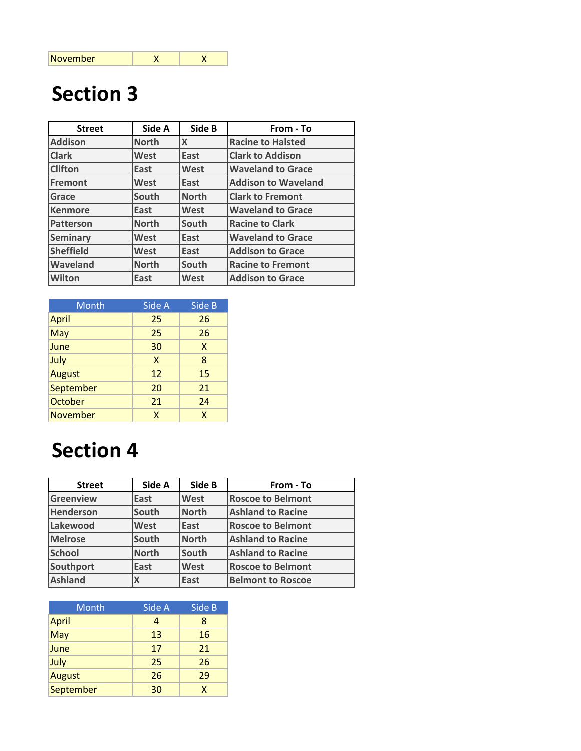| <b>Street</b>    | Side A       | Side B       | From - To                  |
|------------------|--------------|--------------|----------------------------|
| <b>Addison</b>   | <b>North</b> | $\mathsf{x}$ | <b>Racine to Halsted</b>   |
| <b>Clark</b>     | West         | East         | <b>Clark to Addison</b>    |
| <b>Clifton</b>   | East         | West         | <b>Waveland to Grace</b>   |
| Fremont          | West         | East         | <b>Addison to Waveland</b> |
| Grace            | South        | <b>North</b> | <b>Clark to Fremont</b>    |
| <b>Kenmore</b>   | East         | West         | <b>Waveland to Grace</b>   |
| Patterson        | <b>North</b> | South        | <b>Racine to Clark</b>     |
| <b>Seminary</b>  | West         | East         | <b>Waveland to Grace</b>   |
| <b>Sheffield</b> | West         | East         | <b>Addison to Grace</b>    |
| Waveland         | <b>North</b> | South        | <b>Racine to Fremont</b>   |
| Wilton           | East         | <b>West</b>  | <b>Addison to Grace</b>    |

| Month           | Side A       | Side B |
|-----------------|--------------|--------|
| April           | 25           | 26     |
| May             | 25           | 26     |
| June            | 30           | X      |
| July            | X            | 8      |
| <b>August</b>   | 12           | 15     |
| September       | 20           | 21     |
| October         | 21           | 24     |
| <b>November</b> | $\mathsf{x}$ | X      |

| <b>Street</b>    | Side A       | Side B       | From - To                |
|------------------|--------------|--------------|--------------------------|
| Greenview        | East         | West         | <b>Roscoe to Belmont</b> |
| <b>Henderson</b> | South        | <b>North</b> | <b>Ashland to Racine</b> |
| Lakewood         | West         | East         | <b>Roscoe to Belmont</b> |
| <b>Melrose</b>   | South        | <b>North</b> | <b>Ashland to Racine</b> |
| <b>School</b>    | <b>North</b> | <b>South</b> | <b>Ashland to Racine</b> |
| Southport        | East         | West         | <b>Roscoe to Belmont</b> |
| <b>Ashland</b>   |              | <b>East</b>  | <b>Belmont to Roscoe</b> |

| Month        | Side A | Side B |
|--------------|--------|--------|
| <b>April</b> | 4      | 8      |
| May          | 13     | 16     |
| June         | 17     | 21     |
| July         | 25     | 26     |
| August       | 26     | 29     |
| September    | 30     | x      |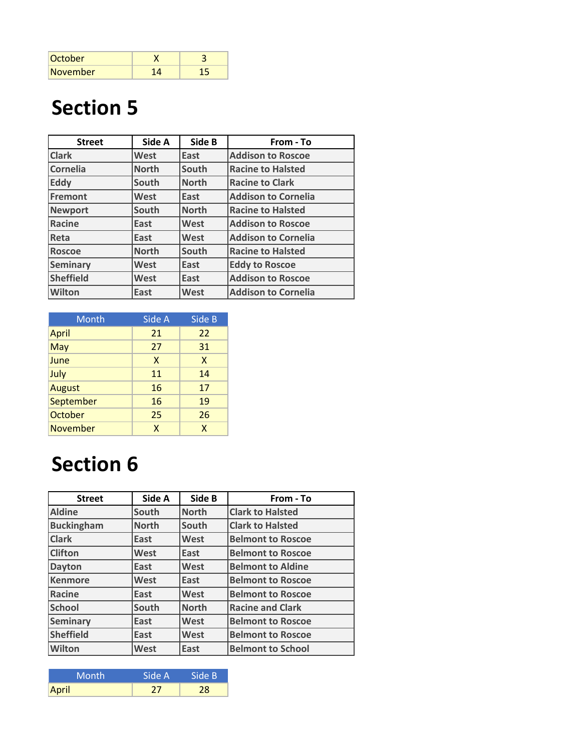| October  |  |
|----------|--|
| November |  |

| <b>Street</b>    | Side A       | Side B       | From - To                  |
|------------------|--------------|--------------|----------------------------|
| <b>Clark</b>     | West         | East         | <b>Addison to Roscoe</b>   |
| Cornelia         | <b>North</b> | South        | <b>Racine to Halsted</b>   |
| Eddy             | South        | <b>North</b> | <b>Racine to Clark</b>     |
| Fremont          | West         | East         | <b>Addison to Cornelia</b> |
| <b>Newport</b>   | South        | <b>North</b> | <b>Racine to Halsted</b>   |
| <b>Racine</b>    | East         | West         | <b>Addison to Roscoe</b>   |
| Reta             | East         | West         | <b>Addison to Cornelia</b> |
| <b>Roscoe</b>    | <b>North</b> | South        | <b>Racine to Halsted</b>   |
| <b>Seminary</b>  | West         | East         | <b>Eddy to Roscoe</b>      |
| <b>Sheffield</b> | West         | East         | <b>Addison to Roscoe</b>   |
| <b>Wilton</b>    | East         | West         | <b>Addison to Cornelia</b> |

| Month           | Side A | Side B |
|-----------------|--------|--------|
| April           | 21     | 22     |
| May             | 27     | 31     |
| June            | X      | X      |
| July            | 11     | 14     |
| <b>August</b>   | 16     | 17     |
| September       | 16     | 19     |
| October         | 25     | 26     |
| <b>November</b> | X      | X      |

| <b>Street</b>     | Side A       | Side B       | From - To                |
|-------------------|--------------|--------------|--------------------------|
| <b>Aldine</b>     | South        | <b>North</b> | <b>Clark to Halsted</b>  |
| <b>Buckingham</b> | <b>North</b> | South        | <b>Clark to Halsted</b>  |
| <b>Clark</b>      | East         | West         | <b>Belmont to Roscoe</b> |
| <b>Clifton</b>    | West         | East         | <b>Belmont to Roscoe</b> |
| <b>Dayton</b>     | East         | <b>West</b>  | <b>Belmont to Aldine</b> |
| <b>Kenmore</b>    | West         | East         | <b>Belmont to Roscoe</b> |
| Racine            | East         | West         | <b>Belmont to Roscoe</b> |
| <b>School</b>     | South        | <b>North</b> | <b>Racine and Clark</b>  |
| <b>Seminary</b>   | East         | West         | <b>Belmont to Roscoe</b> |
| <b>Sheffield</b>  | East         | West         | <b>Belmont to Roscoe</b> |
| <b>Wilton</b>     | <b>West</b>  | East         | <b>Belmont to School</b> |

| Month | Side A | Side B |
|-------|--------|--------|
| April |        | 28     |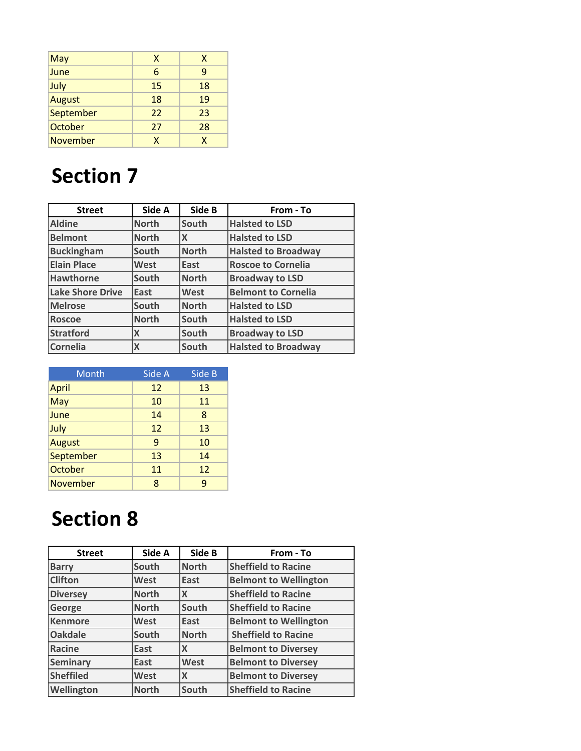| May             | X  | X  |
|-----------------|----|----|
| June            | 6  | 9  |
| July            | 15 | 18 |
| <b>August</b>   | 18 | 19 |
| September       | 22 | 23 |
| October         | 27 | 28 |
| <b>November</b> | X  | X  |

| <b>Street</b>           | Side A       | Side B       | From - To                  |
|-------------------------|--------------|--------------|----------------------------|
| <b>Aldine</b>           | <b>North</b> | South        | <b>Halsted to LSD</b>      |
| <b>Belmont</b>          | <b>North</b> | X            | <b>Halsted to LSD</b>      |
| <b>Buckingham</b>       | South        | <b>North</b> | <b>Halsted to Broadway</b> |
| <b>Elain Place</b>      | <b>West</b>  | East         | <b>Roscoe to Cornelia</b>  |
| <b>Hawthorne</b>        | South        | <b>North</b> | <b>Broadway to LSD</b>     |
| <b>Lake Shore Drive</b> | East         | West         | <b>Belmont to Cornelia</b> |
| Melrose                 | South        | <b>North</b> | <b>Halsted to LSD</b>      |
| <b>Roscoe</b>           | <b>North</b> | South        | <b>Halsted to LSD</b>      |
| <b>Stratford</b>        | X            | South        | <b>Broadway to LSD</b>     |
| <b>Cornelia</b>         | X            | South        | <b>Halsted to Broadway</b> |

| Month           | Side A | Side B |
|-----------------|--------|--------|
| April           | 12     | 13     |
| May             | 10     | 11     |
| June            | 14     | 8      |
| July            | 12     | 13     |
| <b>August</b>   | 9      | 10     |
| September       | 13     | 14     |
| October         | 11     | 12     |
| <b>November</b> | 8      | q      |

| <b>Street</b>    | Side A       | Side B       | From - To                    |
|------------------|--------------|--------------|------------------------------|
| <b>Barry</b>     | South        | <b>North</b> | <b>Sheffield to Racine</b>   |
| <b>Clifton</b>   | <b>West</b>  | East         | <b>Belmont to Wellington</b> |
| <b>Diversey</b>  | <b>North</b> | X            | <b>Sheffield to Racine</b>   |
| George           | <b>North</b> | South        | <b>Sheffield to Racine</b>   |
| <b>Kenmore</b>   | <b>West</b>  | East         | <b>Belmont to Wellington</b> |
| <b>Oakdale</b>   | South        | <b>North</b> | <b>Sheffield to Racine</b>   |
| <b>Racine</b>    | East         | X            | <b>Belmont to Diversey</b>   |
| <b>Seminary</b>  | East         | West         | <b>Belmont to Diversey</b>   |
| <b>Sheffiled</b> | <b>West</b>  | X            | <b>Belmont to Diversey</b>   |
| Wellington       | <b>North</b> | South        | <b>Sheffield to Racine</b>   |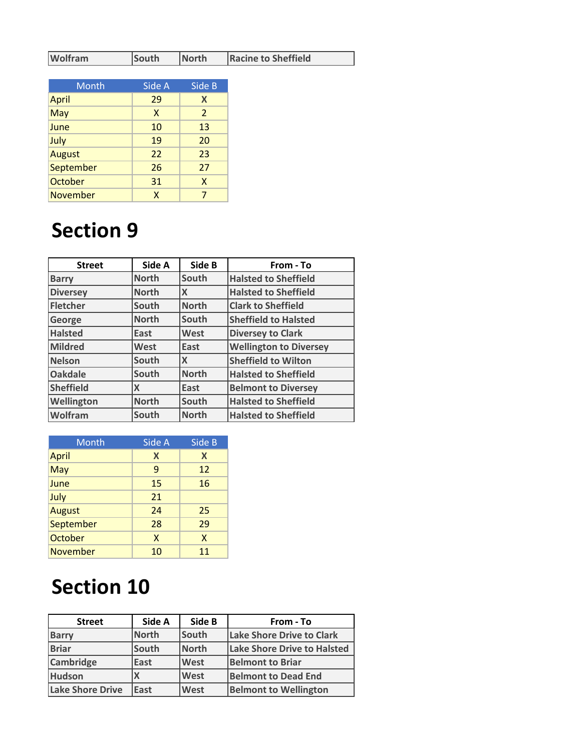| <b>Wolfram</b> | South | North | <b>Racine to Sheffield</b> |
|----------------|-------|-------|----------------------------|
|----------------|-------|-------|----------------------------|

| Month           | Side A | Side B         |
|-----------------|--------|----------------|
| April           | 29     | X              |
| May             | X      | $\overline{2}$ |
| June            | 10     | 13             |
| July            | 19     | 20             |
| <b>August</b>   | 22     | 23             |
| September       | 26     | 27             |
| October         | 31     | X              |
| <b>November</b> | X      |                |

| <b>Street</b>    | Side A       | Side B                    | From - To                     |
|------------------|--------------|---------------------------|-------------------------------|
| <b>Barry</b>     | <b>North</b> | South                     | <b>Halsted to Sheffield</b>   |
| <b>Diversey</b>  | <b>North</b> | $\boldsymbol{\mathsf{X}}$ | <b>Halsted to Sheffield</b>   |
| <b>Fletcher</b>  | South        | <b>North</b>              | <b>Clark to Sheffield</b>     |
| George           | <b>North</b> | South                     | <b>Sheffield to Halsted</b>   |
| <b>Halsted</b>   | East         | West                      | <b>Diversey to Clark</b>      |
| <b>Mildred</b>   | West         | East                      | <b>Wellington to Diversey</b> |
| <b>Nelson</b>    | South        | $\mathsf{x}$              | <b>Sheffield to Wilton</b>    |
| <b>Oakdale</b>   | South        | <b>North</b>              | <b>Halsted to Sheffield</b>   |
| <b>Sheffield</b> | X            | East                      | <b>Belmont to Diversey</b>    |
| Wellington       | <b>North</b> | South                     | <b>Halsted to Sheffield</b>   |
| Wolfram          | South        | <b>North</b>              | <b>Halsted to Sheffield</b>   |

| Month           | Side A | Side B |
|-----------------|--------|--------|
| April           | X      | X      |
| May             | 9      | 12     |
| June            | 15     | 16     |
| July            | 21     |        |
| <b>August</b>   | 24     | 25     |
| September       | 28     | 29     |
| October         | X      | X      |
| <b>November</b> | 10     | 11     |

| <b>Street</b>           | Side A       | Side B       | From - To                          |
|-------------------------|--------------|--------------|------------------------------------|
| <b>Barry</b>            | <b>North</b> | South        | <b>Lake Shore Drive to Clark</b>   |
| <b>Briar</b>            | South        | <b>North</b> | <b>Lake Shore Drive to Halsted</b> |
| <b>Cambridge</b>        | East         | West         | <b>Belmont to Briar</b>            |
| <b>Hudson</b>           |              | West         | <b>Belmont to Dead End</b>         |
| <b>Lake Shore Drive</b> | East         | West         | <b>Belmont to Wellington</b>       |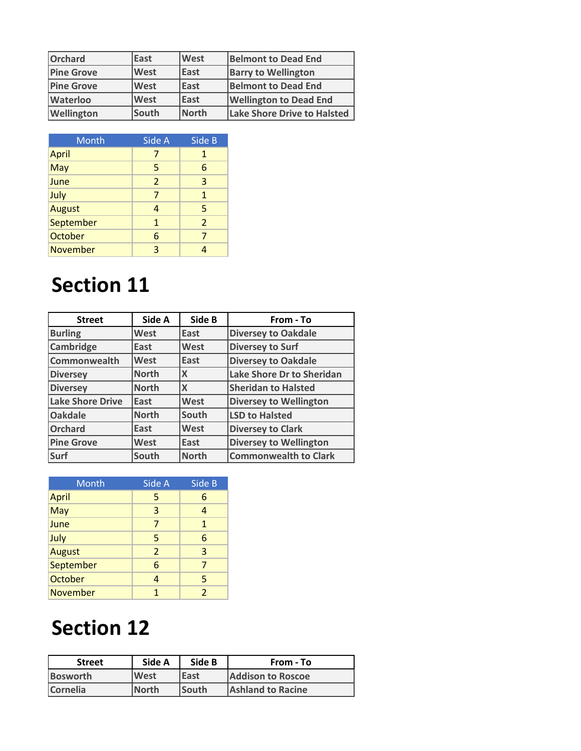| <b>Orchard</b>    | East        | West         | <b>Belmont to Dead End</b>    |
|-------------------|-------------|--------------|-------------------------------|
| <b>Pine Grove</b> | West        | East         | <b>Barry to Wellington</b>    |
| <b>Pine Grove</b> | <b>West</b> | East         | <b>Belmont to Dead End</b>    |
| <b>Waterloo</b>   | <b>West</b> | <b>East</b>  | <b>Wellington to Dead End</b> |
| Wellington        | South       | <b>North</b> | Lake Shore Drive to Halsted   |

| Month           | Side A         | Side B                  |
|-----------------|----------------|-------------------------|
| <b>April</b>    |                | 1                       |
| May             | 5              | 6                       |
| June            | $\overline{2}$ | $\overline{3}$          |
| July            | 7              | $\mathbf{1}$            |
| <b>August</b>   | 4              | 5                       |
| September       | $\mathbf{1}$   | $\overline{\mathbf{z}}$ |
| October         | 6              | 7                       |
| <b>November</b> | 3              |                         |

| <b>Street</b>           | Side A       | Side B | From - To                     |
|-------------------------|--------------|--------|-------------------------------|
| <b>Burling</b>          | <b>West</b>  | East   | <b>Diversey to Oakdale</b>    |
| <b>Cambridge</b>        | East         | West   | <b>Diversey to Surf</b>       |
| <b>Commonwealth</b>     | West         | East   | <b>Diversey to Oakdale</b>    |
| <b>Diversey</b>         | <b>North</b> | X      | Lake Shore Dr to Sheridan     |
| <b>Diversey</b>         | <b>North</b> | X      | <b>Sheridan to Halsted</b>    |
| <b>Lake Shore Drive</b> | East         | West   | <b>Diversey to Wellington</b> |
| <b>Oakdale</b>          | <b>North</b> | South  | <b>LSD to Halsted</b>         |
| <b>Orchard</b>          | East         | West   | <b>Diversey to Clark</b>      |
| <b>Pine Grove</b>       | West         | East   | <b>Diversey to Wellington</b> |
| Surf                    | South        | North  | <b>Commonwealth to Clark</b>  |

| <b>Month</b>    | Side A | Side B                   |
|-----------------|--------|--------------------------|
| <b>April</b>    | 5      | 6                        |
| May             | 3      | 4                        |
| June            | 7      | $\mathbf{1}$             |
| July            | 5      | 6                        |
| <b>August</b>   | 2      | 3                        |
| September       | 6      | 7                        |
| October         | 4      | 5                        |
| <b>November</b> | 1      | $\overline{\mathcal{L}}$ |

| <b>Street</b>   | Side A       | Side B       | From - To                |
|-----------------|--------------|--------------|--------------------------|
| <b>Bosworth</b> | West         | East         | <b>Addison to Roscoe</b> |
| <b>Cornelia</b> | <b>North</b> | <b>South</b> | <b>Ashland to Racine</b> |